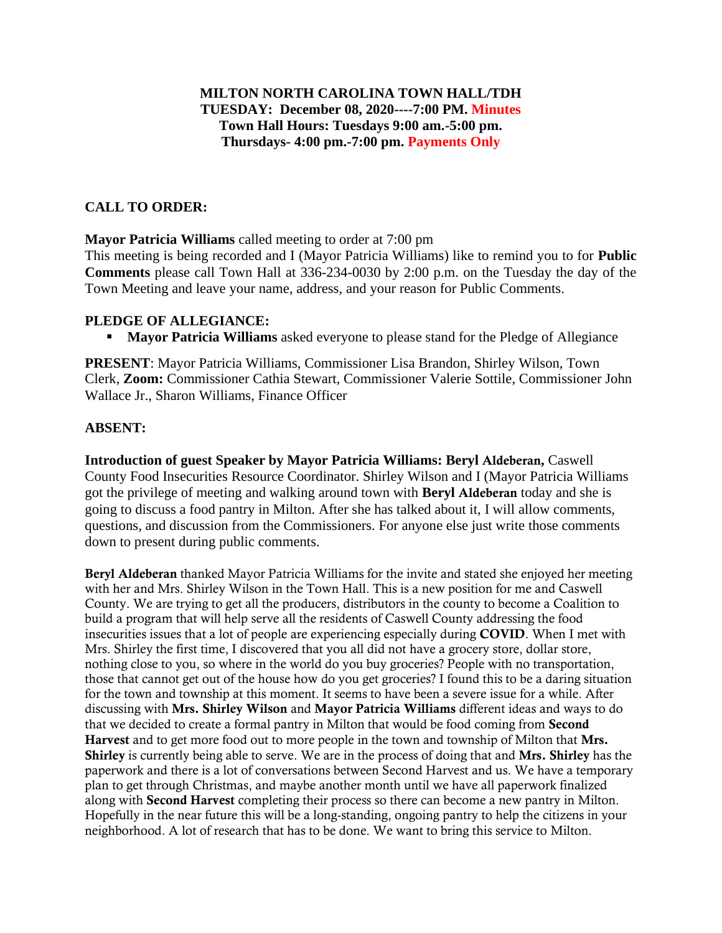### **MILTON NORTH CAROLINA TOWN HALL/TDH TUESDAY: December 08, 2020----7:00 PM. Minutes Town Hall Hours: Tuesdays 9:00 am.-5:00 pm. Thursdays- 4:00 pm.-7:00 pm. Payments Only**

## **CALL TO ORDER:**

**Mayor Patricia Williams** called meeting to order at 7:00 pm

This meeting is being recorded and I (Mayor Patricia Williams) like to remind you to for **Public Comments** please call Town Hall at 336-234-0030 by 2:00 p.m. on the Tuesday the day of the Town Meeting and leave your name, address, and your reason for Public Comments.

### **PLEDGE OF ALLEGIANCE:**

**• Mayor Patricia Williams** asked everyone to please stand for the Pledge of Allegiance

**PRESENT**: Mayor Patricia Williams, Commissioner Lisa Brandon, Shirley Wilson, Town Clerk, **Zoom:** Commissioner Cathia Stewart, Commissioner Valerie Sottile, Commissioner John Wallace Jr., Sharon Williams, Finance Officer

## **ABSENT:**

**Introduction of guest Speaker by Mayor Patricia Williams: Beryl** Aldeberan**,** Caswell County Food Insecurities Resource Coordinator. Shirley Wilson and I (Mayor Patricia Williams got the privilege of meeting and walking around town with **Beryl** Aldeberan today and she is going to discuss a food pantry in Milton. After she has talked about it, I will allow comments, questions, and discussion from the Commissioners. For anyone else just write those comments down to present during public comments.

Beryl Aldeberan thanked Mayor Patricia Williams for the invite and stated she enjoyed her meeting with her and Mrs. Shirley Wilson in the Town Hall. This is a new position for me and Caswell County. We are trying to get all the producers, distributors in the county to become a Coalition to build a program that will help serve all the residents of Caswell County addressing the food insecurities issues that a lot of people are experiencing especially during COVID. When I met with Mrs. Shirley the first time, I discovered that you all did not have a grocery store, dollar store, nothing close to you, so where in the world do you buy groceries? People with no transportation, those that cannot get out of the house how do you get groceries? I found this to be a daring situation for the town and township at this moment. It seems to have been a severe issue for a while. After discussing with Mrs. Shirley Wilson and Mayor Patricia Williams different ideas and ways to do that we decided to create a formal pantry in Milton that would be food coming from Second Harvest and to get more food out to more people in the town and township of Milton that Mrs. Shirley is currently being able to serve. We are in the process of doing that and Mrs. Shirley has the paperwork and there is a lot of conversations between Second Harvest and us. We have a temporary plan to get through Christmas, and maybe another month until we have all paperwork finalized along with Second Harvest completing their process so there can become a new pantry in Milton. Hopefully in the near future this will be a long-standing, ongoing pantry to help the citizens in your neighborhood. A lot of research that has to be done. We want to bring this service to Milton.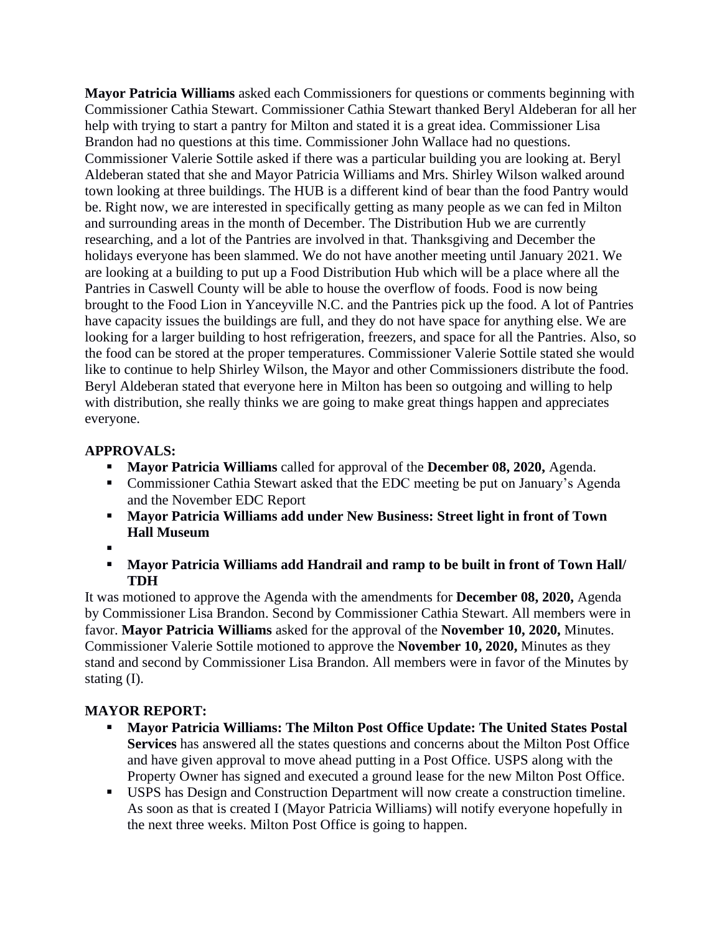**Mayor Patricia Williams** asked each Commissioners for questions or comments beginning with Commissioner Cathia Stewart. Commissioner Cathia Stewart thanked Beryl Aldeberan for all her help with trying to start a pantry for Milton and stated it is a great idea. Commissioner Lisa Brandon had no questions at this time. Commissioner John Wallace had no questions. Commissioner Valerie Sottile asked if there was a particular building you are looking at. Beryl Aldeberan stated that she and Mayor Patricia Williams and Mrs. Shirley Wilson walked around town looking at three buildings. The HUB is a different kind of bear than the food Pantry would be. Right now, we are interested in specifically getting as many people as we can fed in Milton and surrounding areas in the month of December. The Distribution Hub we are currently researching, and a lot of the Pantries are involved in that. Thanksgiving and December the holidays everyone has been slammed. We do not have another meeting until January 2021. We are looking at a building to put up a Food Distribution Hub which will be a place where all the Pantries in Caswell County will be able to house the overflow of foods. Food is now being brought to the Food Lion in Yanceyville N.C. and the Pantries pick up the food. A lot of Pantries have capacity issues the buildings are full, and they do not have space for anything else. We are looking for a larger building to host refrigeration, freezers, and space for all the Pantries. Also, so the food can be stored at the proper temperatures. Commissioner Valerie Sottile stated she would like to continue to help Shirley Wilson, the Mayor and other Commissioners distribute the food. Beryl Aldeberan stated that everyone here in Milton has been so outgoing and willing to help with distribution, she really thinks we are going to make great things happen and appreciates everyone.

# **APPROVALS:**

- **Mayor Patricia Williams** called for approval of the **December 08, 2020,** Agenda.
- Commissioner Cathia Stewart asked that the EDC meeting be put on January's Agenda and the November EDC Report
- **Mayor Patricia Williams add under New Business: Street light in front of Town Hall Museum**
- ▪
- **Mayor Patricia Williams add Handrail and ramp to be built in front of Town Hall/ TDH**

It was motioned to approve the Agenda with the amendments for **December 08, 2020,** Agenda by Commissioner Lisa Brandon. Second by Commissioner Cathia Stewart. All members were in favor. **Mayor Patricia Williams** asked for the approval of the **November 10, 2020,** Minutes. Commissioner Valerie Sottile motioned to approve the **November 10, 2020,** Minutes as they stand and second by Commissioner Lisa Brandon. All members were in favor of the Minutes by stating (I).

# **MAYOR REPORT:**

- **Mayor Patricia Williams: The Milton Post Office Update: The United States Postal Services** has answered all the states questions and concerns about the Milton Post Office and have given approval to move ahead putting in a Post Office. USPS along with the Property Owner has signed and executed a ground lease for the new Milton Post Office.
- USPS has Design and Construction Department will now create a construction timeline. As soon as that is created I (Mayor Patricia Williams) will notify everyone hopefully in the next three weeks. Milton Post Office is going to happen.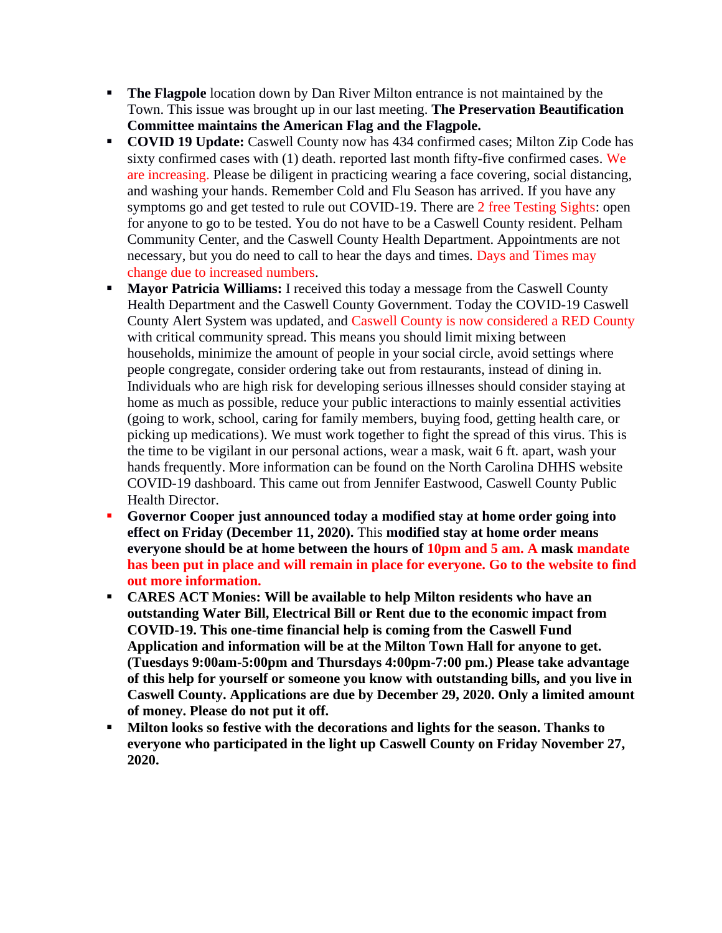- **The Flagpole** location down by Dan River Milton entrance is not maintained by the Town. This issue was brought up in our last meeting. **The Preservation Beautification Committee maintains the American Flag and the Flagpole.**
- **COVID 19 Update:** Caswell County now has 434 confirmed cases; Milton Zip Code has sixty confirmed cases with (1) death. reported last month fifty-five confirmed cases. We are increasing. Please be diligent in practicing wearing a face covering, social distancing, and washing your hands. Remember Cold and Flu Season has arrived. If you have any symptoms go and get tested to rule out COVID-19. There are 2 free Testing Sights: open for anyone to go to be tested. You do not have to be a Caswell County resident. Pelham Community Center, and the Caswell County Health Department. Appointments are not necessary, but you do need to call to hear the days and times. Days and Times may change due to increased numbers.
- **Mayor Patricia Williams:** I received this today a message from the Caswell County Health Department and the Caswell County Government. Today the COVID-19 Caswell County Alert System was updated, and Caswell County is now considered a RED County with critical community spread. This means you should limit mixing between households, minimize the amount of people in your social circle, avoid settings where people congregate, consider ordering take out from restaurants, instead of dining in. Individuals who are high risk for developing serious illnesses should consider staying at home as much as possible, reduce your public interactions to mainly essential activities (going to work, school, caring for family members, buying food, getting health care, or picking up medications). We must work together to fight the spread of this virus. This is the time to be vigilant in our personal actions, wear a mask, wait 6 ft. apart, wash your hands frequently. More information can be found on the North Carolina DHHS website COVID-19 dashboard. This came out from Jennifer Eastwood, Caswell County Public Health Director.
- **Governor Cooper just announced today a modified stay at home order going into effect on Friday (December 11, 2020).** This **modified stay at home order means everyone should be at home between the hours of 10pm and 5 am. A mask mandate has been put in place and will remain in place for everyone. Go to the website to find out more information.**
- **CARES ACT Monies: Will be available to help Milton residents who have an outstanding Water Bill, Electrical Bill or Rent due to the economic impact from COVID-19. This one-time financial help is coming from the Caswell Fund Application and information will be at the Milton Town Hall for anyone to get. (Tuesdays 9:00am-5:00pm and Thursdays 4:00pm-7:00 pm.) Please take advantage of this help for yourself or someone you know with outstanding bills, and you live in Caswell County. Applications are due by December 29, 2020. Only a limited amount of money. Please do not put it off.**
- **Milton looks so festive with the decorations and lights for the season. Thanks to everyone who participated in the light up Caswell County on Friday November 27, 2020.**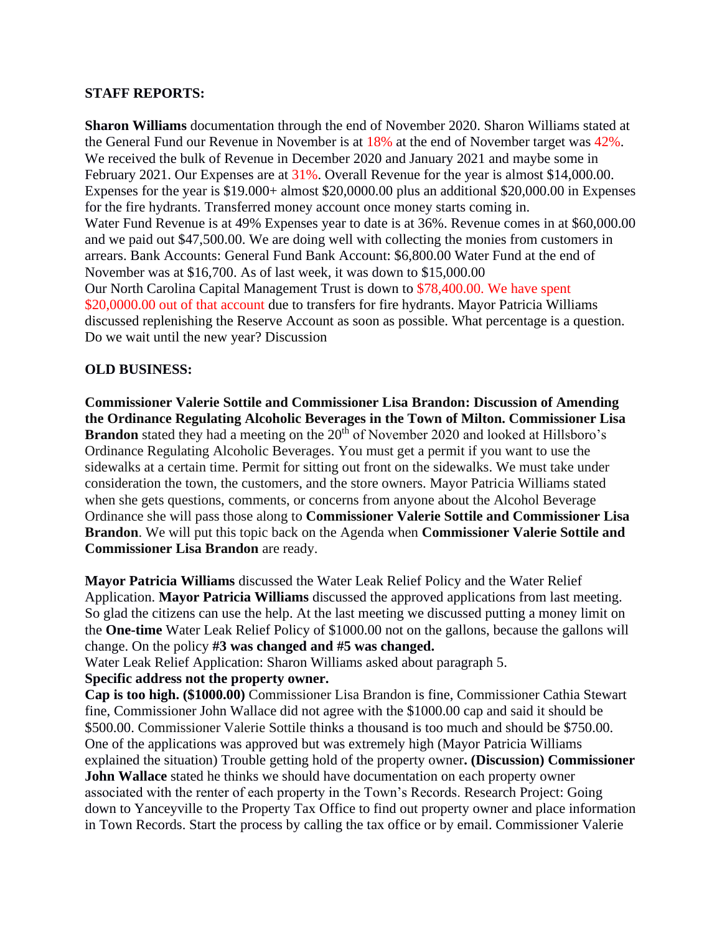### **STAFF REPORTS:**

**Sharon Williams** documentation through the end of November 2020. Sharon Williams stated at the General Fund our Revenue in November is at 18% at the end of November target was 42%. We received the bulk of Revenue in December 2020 and January 2021 and maybe some in February 2021. Our Expenses are at 31%. Overall Revenue for the year is almost \$14,000.00. Expenses for the year is \$19.000+ almost \$20,0000.00 plus an additional \$20,000.00 in Expenses for the fire hydrants. Transferred money account once money starts coming in. Water Fund Revenue is at 49% Expenses year to date is at 36%. Revenue comes in at \$60,000.00 and we paid out \$47,500.00. We are doing well with collecting the monies from customers in arrears. Bank Accounts: General Fund Bank Account: \$6,800.00 Water Fund at the end of November was at \$16,700. As of last week, it was down to \$15,000.00 Our North Carolina Capital Management Trust is down to \$78,400.00. We have spent \$20,0000.00 out of that account due to transfers for fire hydrants. Mayor Patricia Williams discussed replenishing the Reserve Account as soon as possible. What percentage is a question. Do we wait until the new year? Discussion

### **OLD BUSINESS:**

**Commissioner Valerie Sottile and Commissioner Lisa Brandon: Discussion of Amending the Ordinance Regulating Alcoholic Beverages in the Town of Milton. Commissioner Lisa Brandon** stated they had a meeting on the 20<sup>th</sup> of November 2020 and looked at Hillsboro's Ordinance Regulating Alcoholic Beverages. You must get a permit if you want to use the sidewalks at a certain time. Permit for sitting out front on the sidewalks. We must take under consideration the town, the customers, and the store owners. Mayor Patricia Williams stated when she gets questions, comments, or concerns from anyone about the Alcohol Beverage Ordinance she will pass those along to **Commissioner Valerie Sottile and Commissioner Lisa Brandon**. We will put this topic back on the Agenda when **Commissioner Valerie Sottile and Commissioner Lisa Brandon** are ready.

**Mayor Patricia Williams** discussed the Water Leak Relief Policy and the Water Relief Application. **Mayor Patricia Williams** discussed the approved applications from last meeting. So glad the citizens can use the help. At the last meeting we discussed putting a money limit on the **One-time** Water Leak Relief Policy of \$1000.00 not on the gallons, because the gallons will change. On the policy **#3 was changed and #5 was changed.**

Water Leak Relief Application: Sharon Williams asked about paragraph 5.

#### **Specific address not the property owner.**

**Cap is too high. (\$1000.00)** Commissioner Lisa Brandon is fine, Commissioner Cathia Stewart fine, Commissioner John Wallace did not agree with the \$1000.00 cap and said it should be \$500.00. Commissioner Valerie Sottile thinks a thousand is too much and should be \$750.00. One of the applications was approved but was extremely high (Mayor Patricia Williams explained the situation) Trouble getting hold of the property owner**. (Discussion) Commissioner John Wallace** stated he thinks we should have documentation on each property owner associated with the renter of each property in the Town's Records. Research Project: Going down to Yanceyville to the Property Tax Office to find out property owner and place information in Town Records. Start the process by calling the tax office or by email. Commissioner Valerie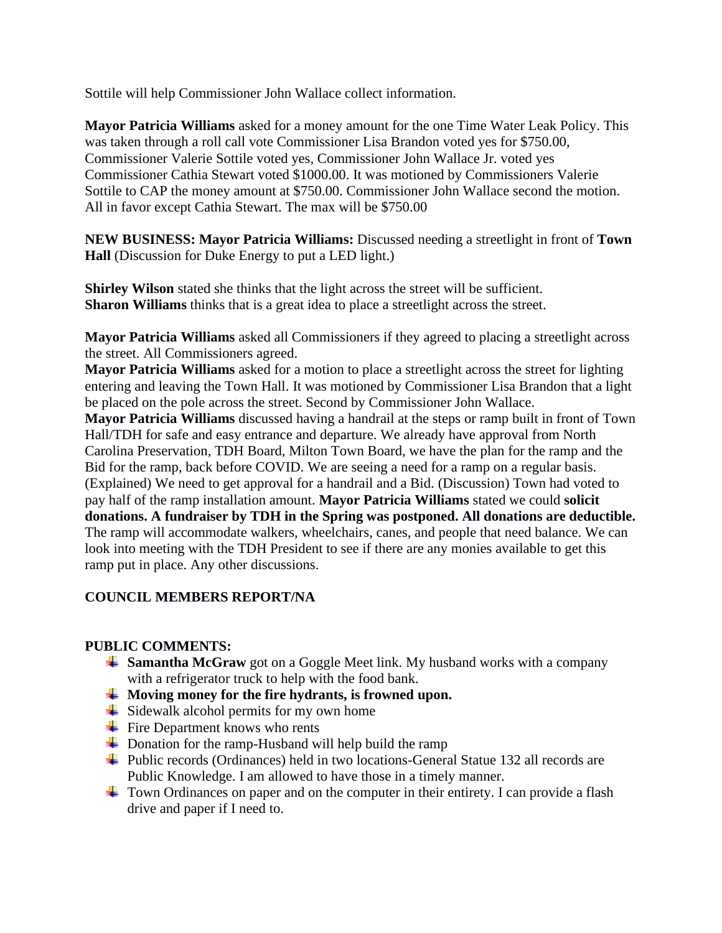Sottile will help Commissioner John Wallace collect information.

**Mayor Patricia Williams** asked for a money amount for the one Time Water Leak Policy. This was taken through a roll call vote Commissioner Lisa Brandon voted yes for \$750.00, Commissioner Valerie Sottile voted yes, Commissioner John Wallace Jr. voted yes Commissioner Cathia Stewart voted \$1000.00. It was motioned by Commissioners Valerie Sottile to CAP the money amount at \$750.00. Commissioner John Wallace second the motion. All in favor except Cathia Stewart. The max will be \$750.00

**NEW BUSINESS: Mayor Patricia Williams:** Discussed needing a streetlight in front of **Town Hall** (Discussion for Duke Energy to put a LED light.)

**Shirley Wilson** stated she thinks that the light across the street will be sufficient. **Sharon Williams** thinks that is a great idea to place a streetlight across the street.

**Mayor Patricia Williams** asked all Commissioners if they agreed to placing a streetlight across the street. All Commissioners agreed.

**Mayor Patricia Williams** asked for a motion to place a streetlight across the street for lighting entering and leaving the Town Hall. It was motioned by Commissioner Lisa Brandon that a light be placed on the pole across the street. Second by Commissioner John Wallace.

**Mayor Patricia Williams** discussed having a handrail at the steps or ramp built in front of Town Hall/TDH for safe and easy entrance and departure. We already have approval from North Carolina Preservation, TDH Board, Milton Town Board, we have the plan for the ramp and the Bid for the ramp, back before COVID. We are seeing a need for a ramp on a regular basis. (Explained) We need to get approval for a handrail and a Bid. (Discussion) Town had voted to pay half of the ramp installation amount. **Mayor Patricia Williams** stated we could **solicit donations. A fundraiser by TDH in the Spring was postponed. All donations are deductible.** The ramp will accommodate walkers, wheelchairs, canes, and people that need balance. We can look into meeting with the TDH President to see if there are any monies available to get this ramp put in place. Any other discussions.

## **COUNCIL MEMBERS REPORT/NA**

## **PUBLIC COMMENTS:**

- **Samantha McGraw** got on a Goggle Meet link. My husband works with a company with a refrigerator truck to help with the food bank.
- **Moving money for the fire hydrants, is frowned upon.**
- $\frac{1}{\sqrt{2}}$  Sidewalk alcohol permits for my own home
- $\div$  Fire Department knows who rents
- $\overline{\phantom{a}}$  Donation for the ramp-Husband will help build the ramp
- Public records (Ordinances) held in two locations-General Statue 132 all records are Public Knowledge. I am allowed to have those in a timely manner.
- $\pm$  Town Ordinances on paper and on the computer in their entirety. I can provide a flash drive and paper if I need to.